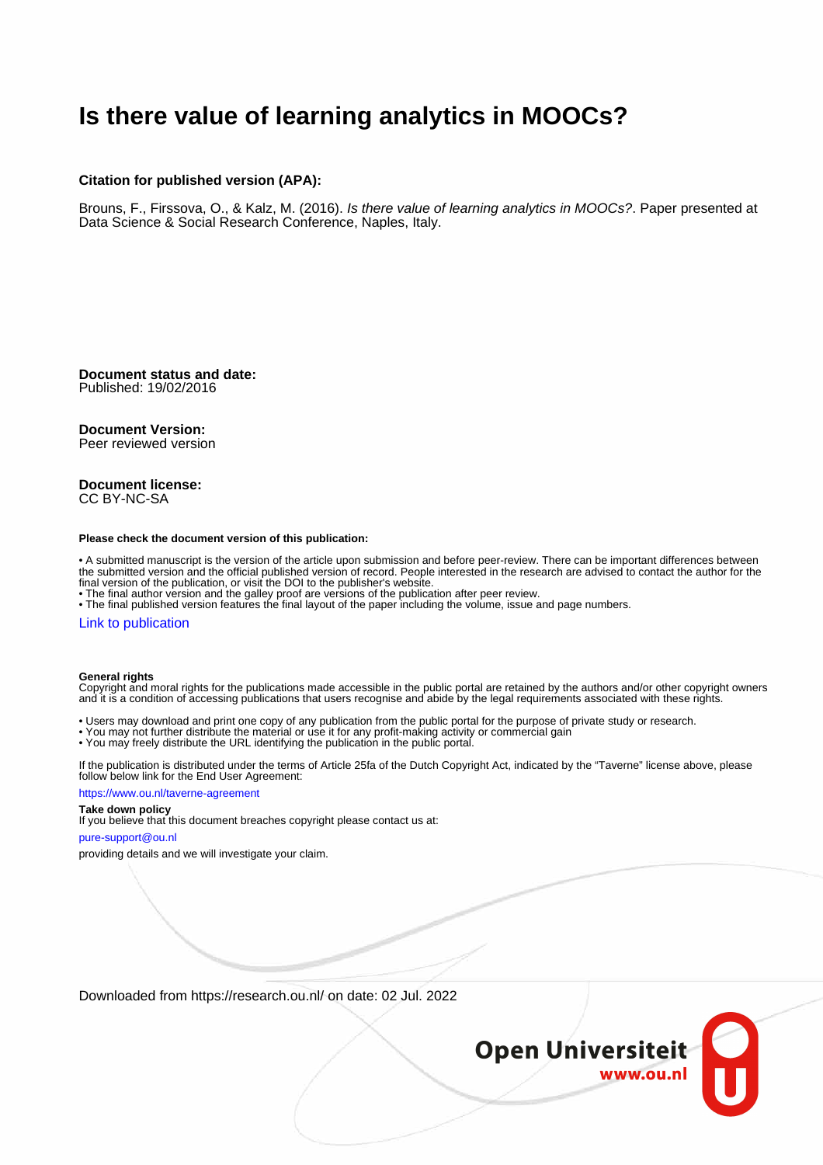### **Is there value of learning analytics in MOOCs?**

#### **Citation for published version (APA):**

Brouns, F., Firssova, O., & Kalz, M. (2016). Is there value of learning analytics in MOOCs?. Paper presented at Data Science & Social Research Conference, Naples, Italy.

**Document status and date:** Published: 19/02/2016

#### **Document Version:**

Peer reviewed version

#### **Document license:** CC BY-NC-SA

#### **Please check the document version of this publication:**

• A submitted manuscript is the version of the article upon submission and before peer-review. There can be important differences between the submitted version and the official published version of record. People interested in the research are advised to contact the author for the final version of the publication, or visit the DOI to the publisher's website.

• The final author version and the galley proof are versions of the publication after peer review.

• The final published version features the final layout of the paper including the volume, issue and page numbers.

#### [Link to publication](https://research.ou.nl/en/publications/a1f42f1d-8f8e-433a-bf73-2c43964b8a77)

#### **General rights**

Copyright and moral rights for the publications made accessible in the public portal are retained by the authors and/or other copyright owners and it is a condition of accessing publications that users recognise and abide by the legal requirements associated with these rights.

- Users may download and print one copy of any publication from the public portal for the purpose of private study or research.
- You may not further distribute the material or use it for any profit-making activity or commercial gain
- You may freely distribute the URL identifying the publication in the public portal.

If the publication is distributed under the terms of Article 25fa of the Dutch Copyright Act, indicated by the "Taverne" license above, please follow below link for the End User Agreement:

#### https://www.ou.nl/taverne-agreement

#### **Take down policy**

If you believe that this document breaches copyright please contact us at:

#### pure-support@ou.nl

providing details and we will investigate your claim.

Downloaded from https://research.ou.nl/ on date: 02 Jul. 2022

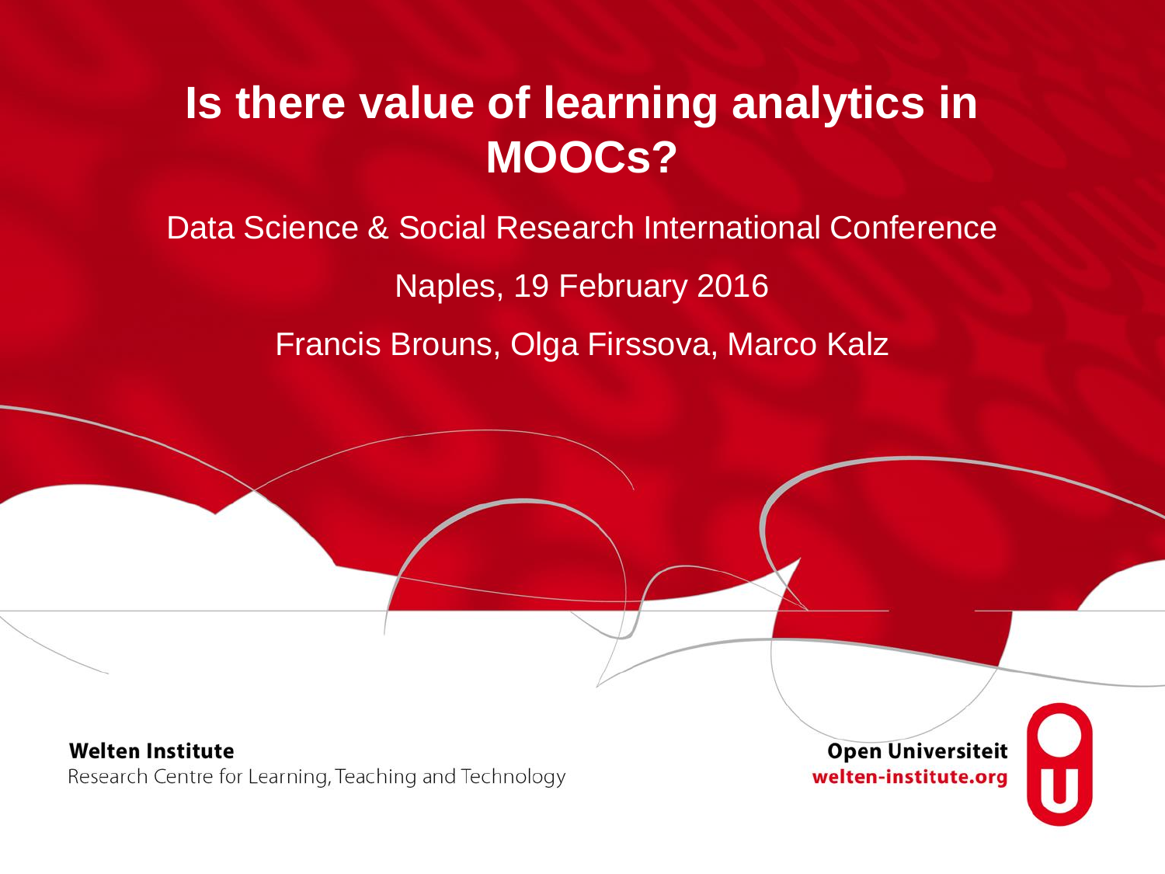### **Is there value of learning analytics in MOOCs?**

Data Science & Social Research International Conference

Naples, 19 February 2016

Francis Brouns, Olga Firssova, Marco Kalz

**Welten Institute** Research Centre for Learning, Teaching and Technology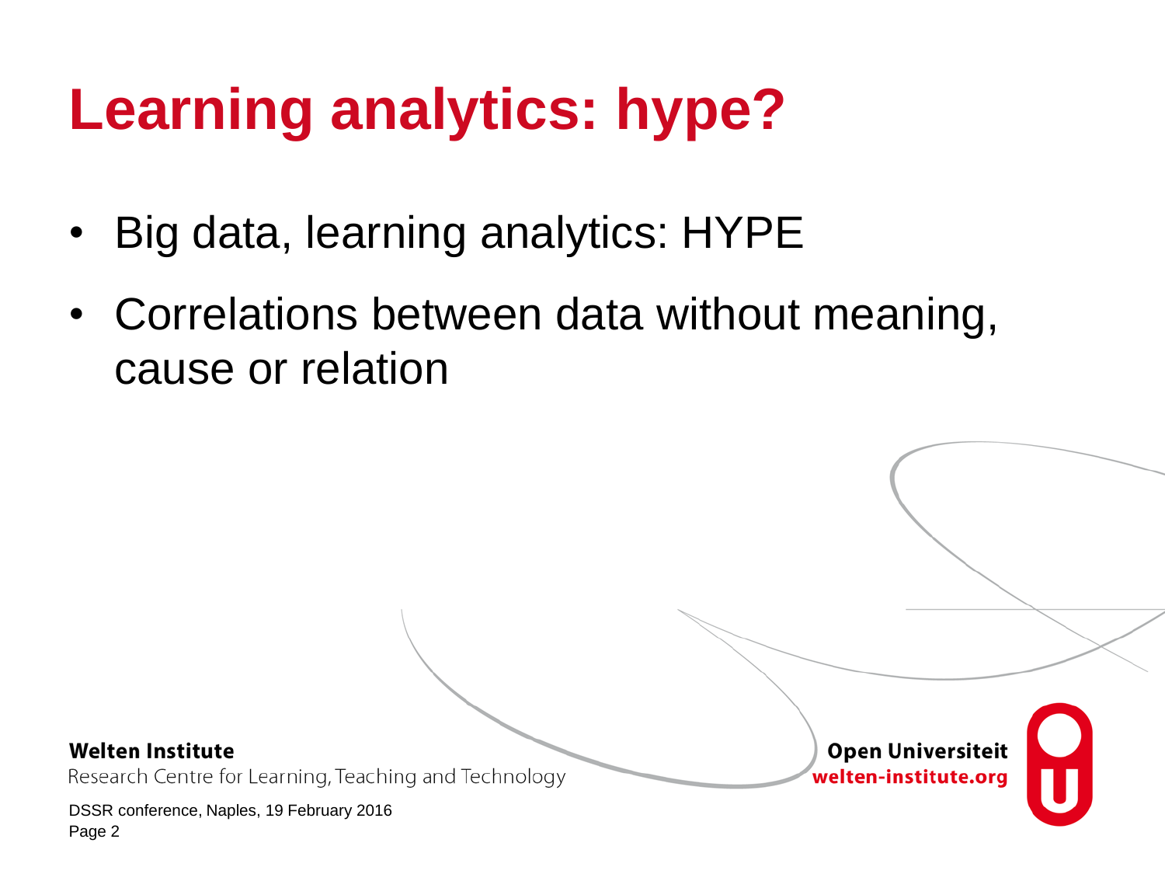# **Learning analytics: hype?**

- Big data, learning analytics: HYPE
- Correlations between data without meaning, cause or relation

**Welten Institute** 

Research Centre for Learning, Teaching and Technology

DSSR conference, Naples, 19 February 2016 Page 2

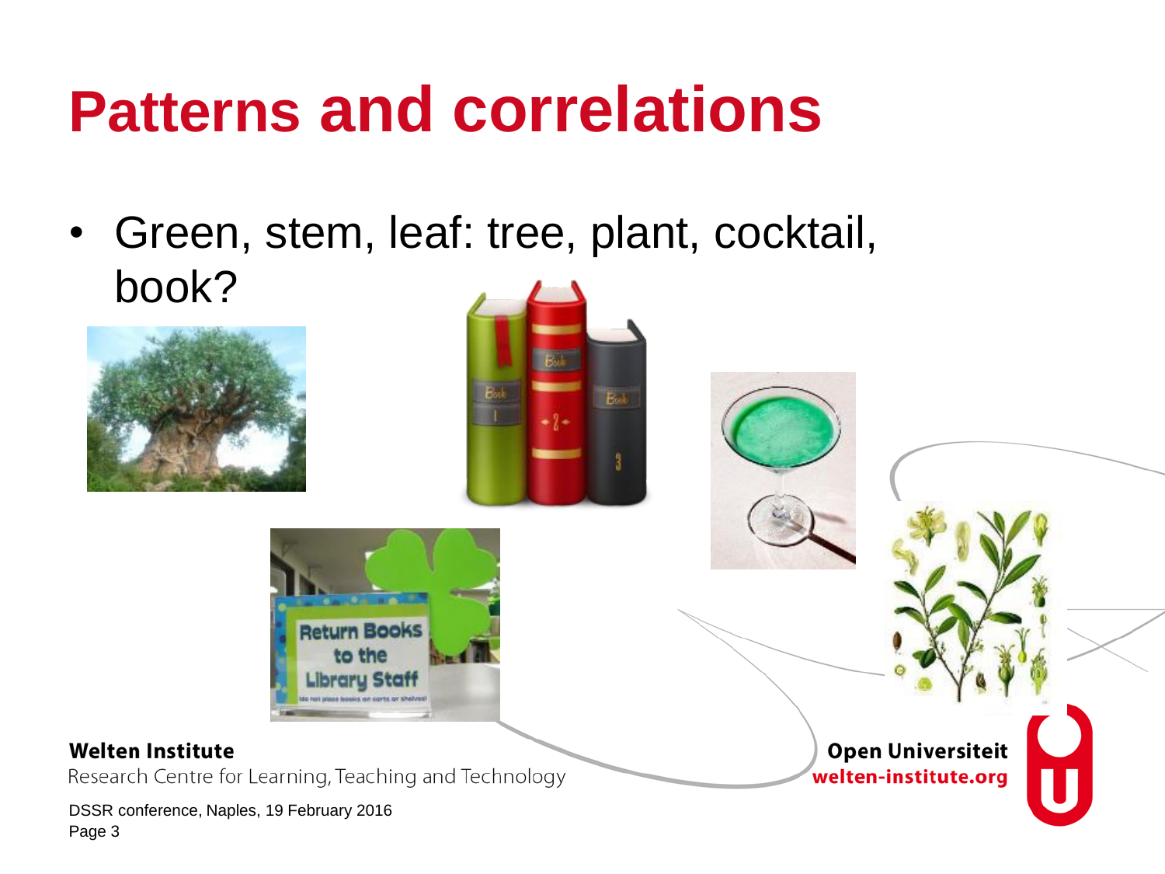# **Patterns and correlations**

• Green, stem, leaf: tree, plant, cocktail, book?







#### **Welten Institute**

Research Centre for Learning, Teaching and Technology

DSSR conference, Naples, 19 February 2016 Page 3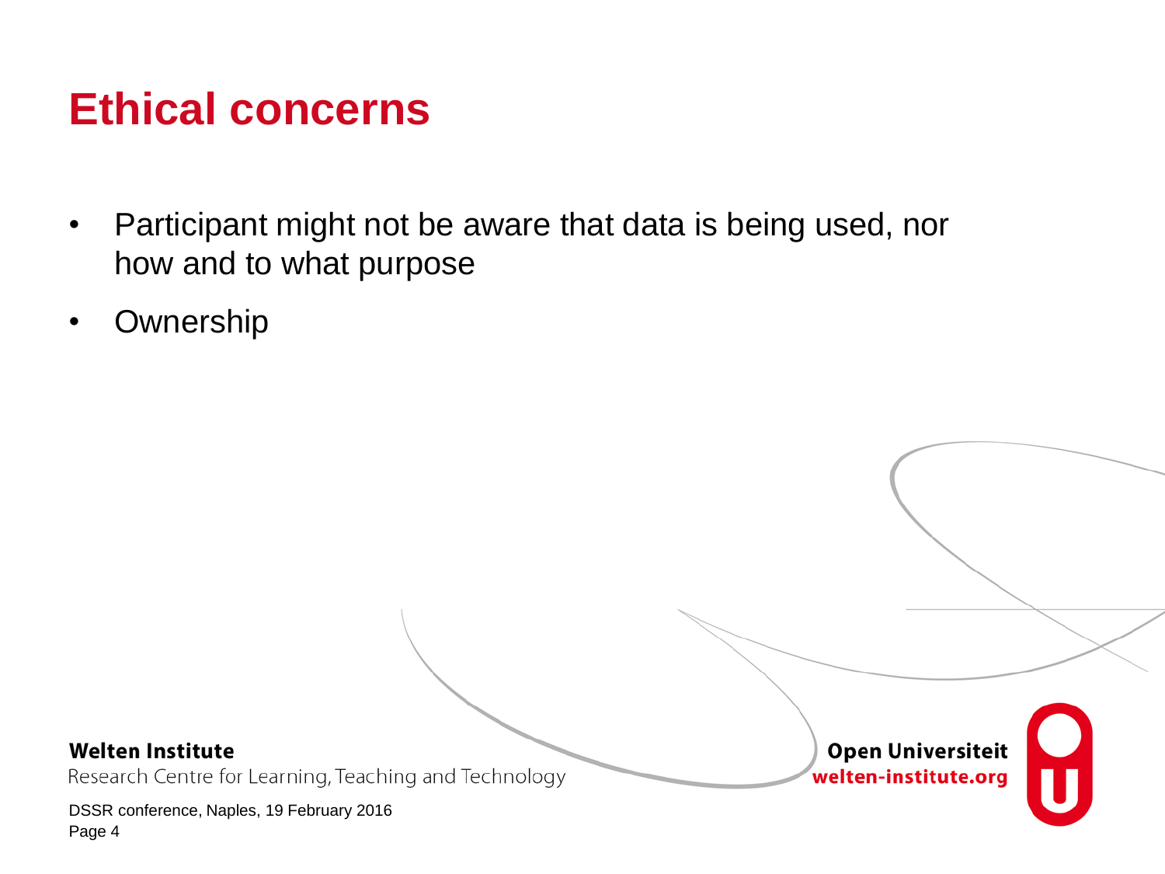### **Ethical concerns**

- Participant might not be aware that data is being used, nor how and to what purpose
- Ownership

**Welten Institute** 

Research Centre for Learning, Teaching and Technology

DSSR conference, Naples, 19 February 2016 Page 4

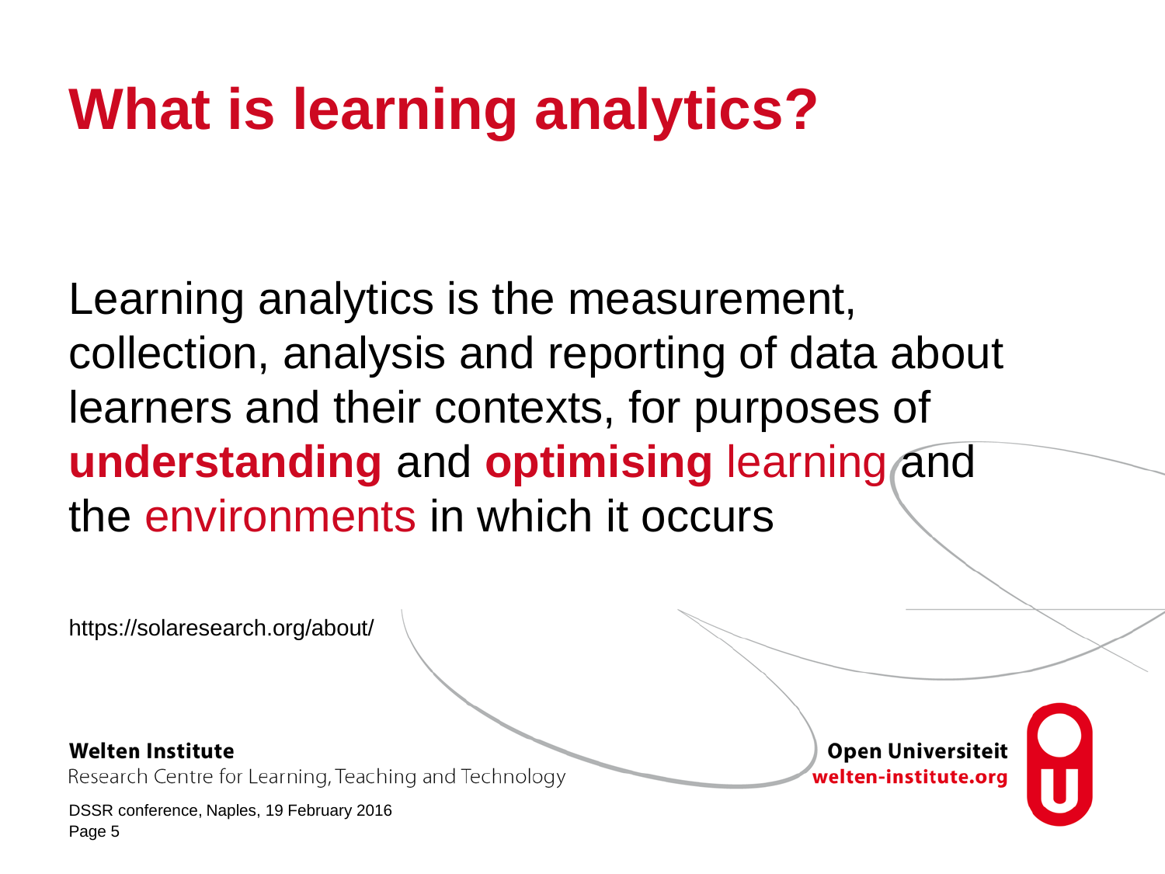# **What is learning analytics?**

Learning analytics is the measurement, collection, analysis and reporting of data about learners and their contexts, for purposes of **understanding** and **optimising** learning and the environments in which it occurs

https://solaresearch.org/about/

**Welten Institute** 

Research Centre for Learning, Teaching and Technology

DSSR conference, Naples, 19 February 2016 Page 5

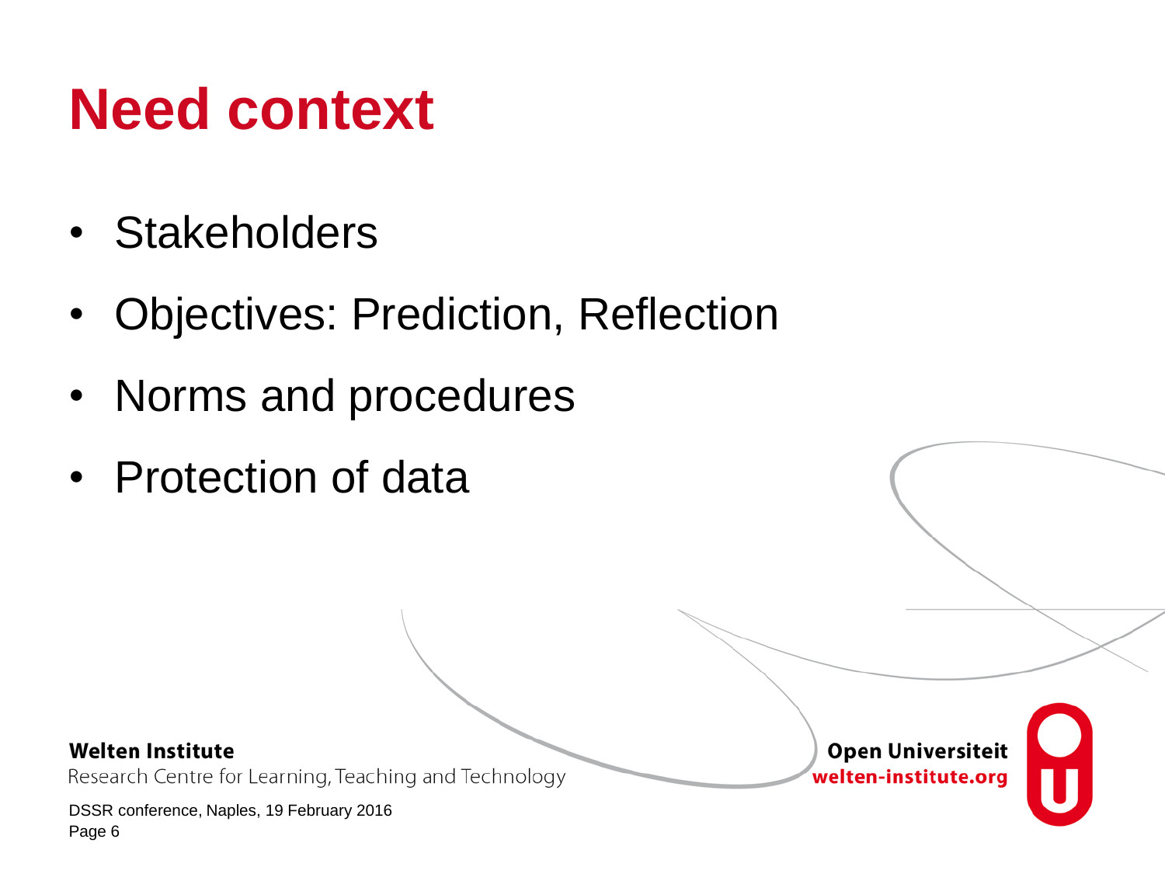# **Need context**

- Stakeholders
- Objectives: Prediction, Reflection
- Norms and procedures
- Protection of data

### **Welten Institute**

Research Centre for Learning, Teaching and Technology

DSSR conference, Naples, 19 February 2016 Page 6

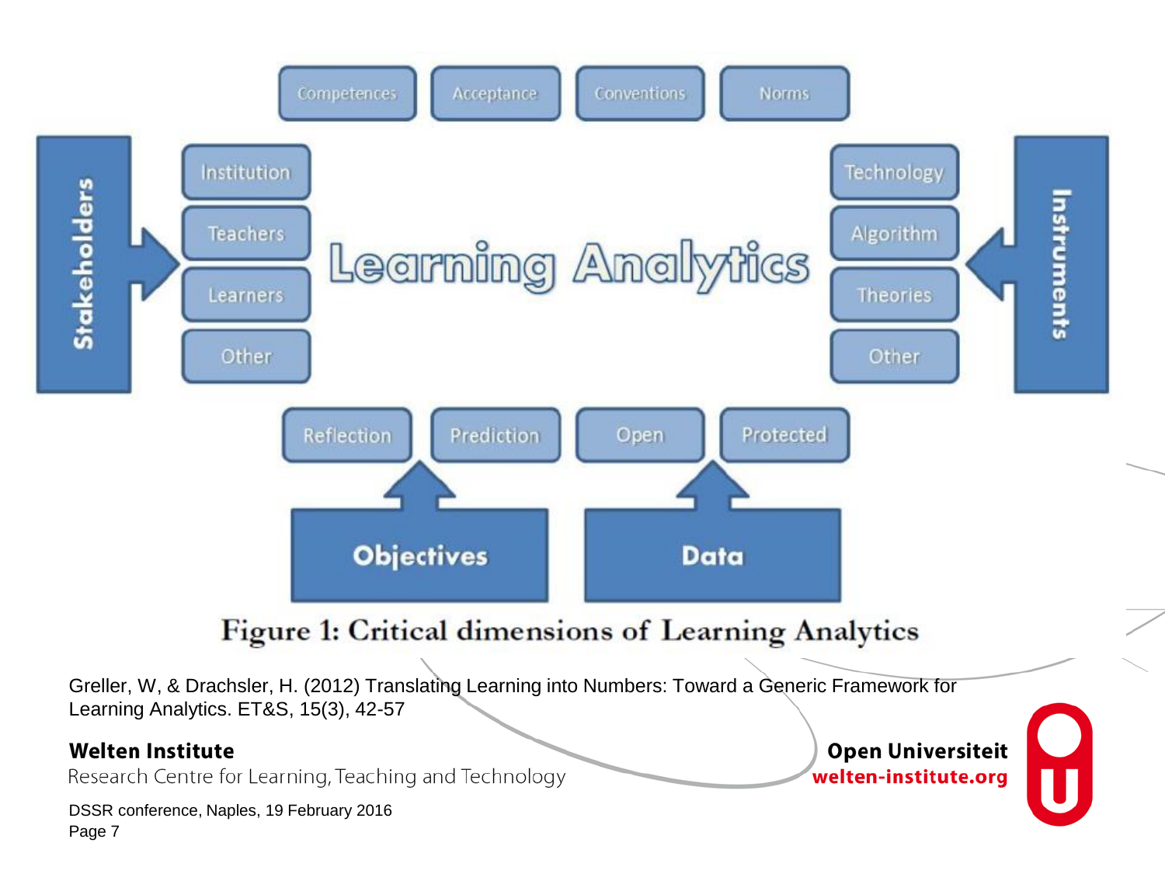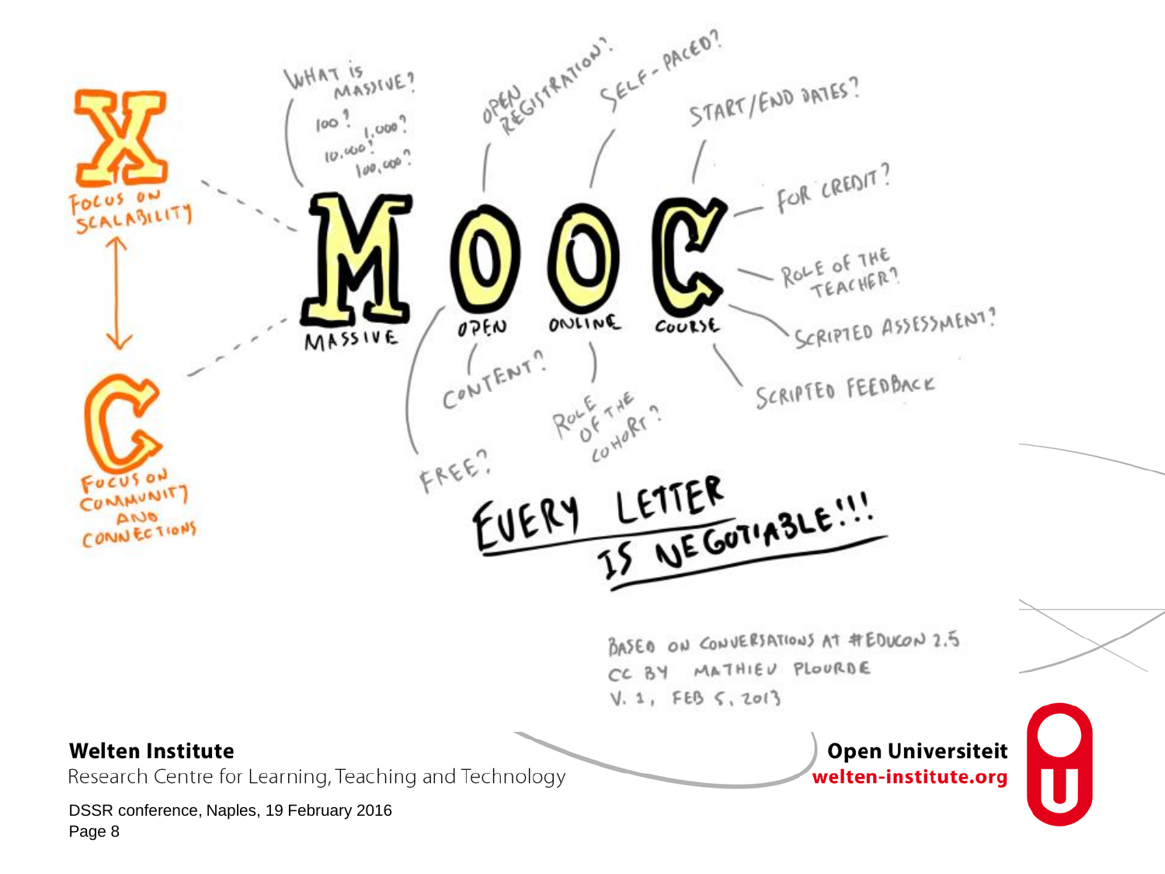

CC BY MATHIEU PLOURDE  $V. 1, FEB 5, 2013$ 

#### **Welten Institute**

Research Centre for Learning, Teaching and Technology

DSSR conference, Naples, 19 February 2016 Page 8

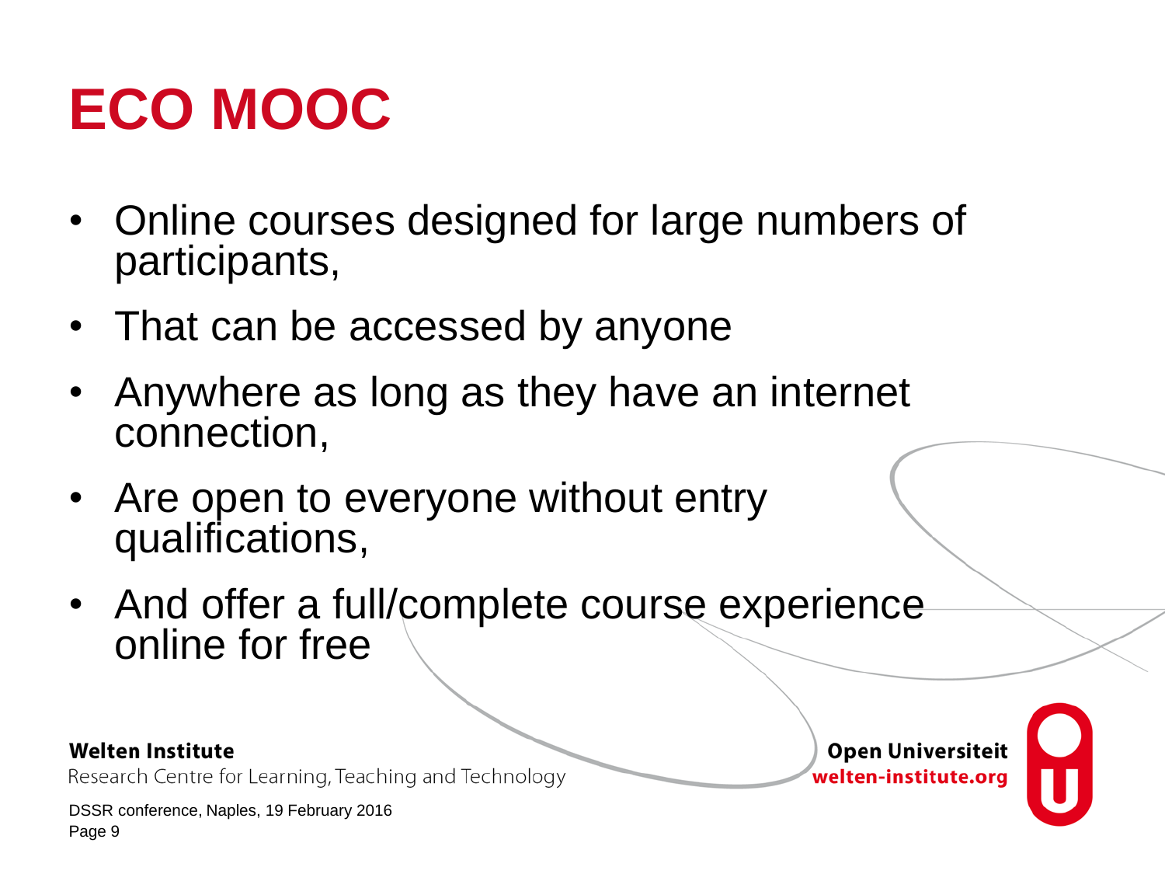# **ECO MOOC**

- Online courses designed for large numbers of participants,
- That can be accessed by anyone
- Anywhere as long as they have an internet connection,
- Are open to everyone without entry qualifications,
- And offer a full/complete course experience online for free

### **Welten Institute**

Research Centre for Learning, Teaching and Technology

DSSR conference, Naples, 19 February 2016 Page 9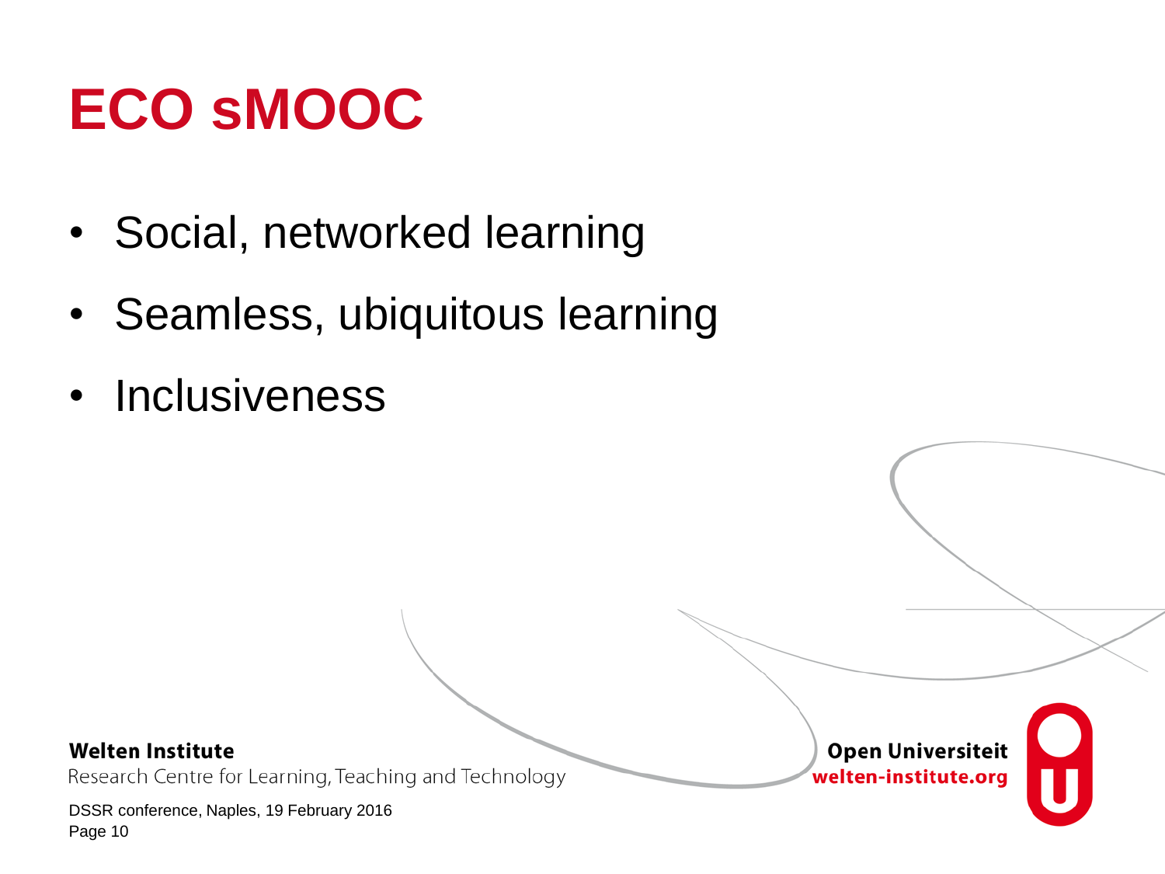# **ECO sMOOC**

- Social, networked learning
- Seamless, ubiquitous learning
- Inclusiveness

### **Welten Institute**

Research Centre for Learning, Teaching and Technology

DSSR conference, Naples, 19 February 2016 Page 10

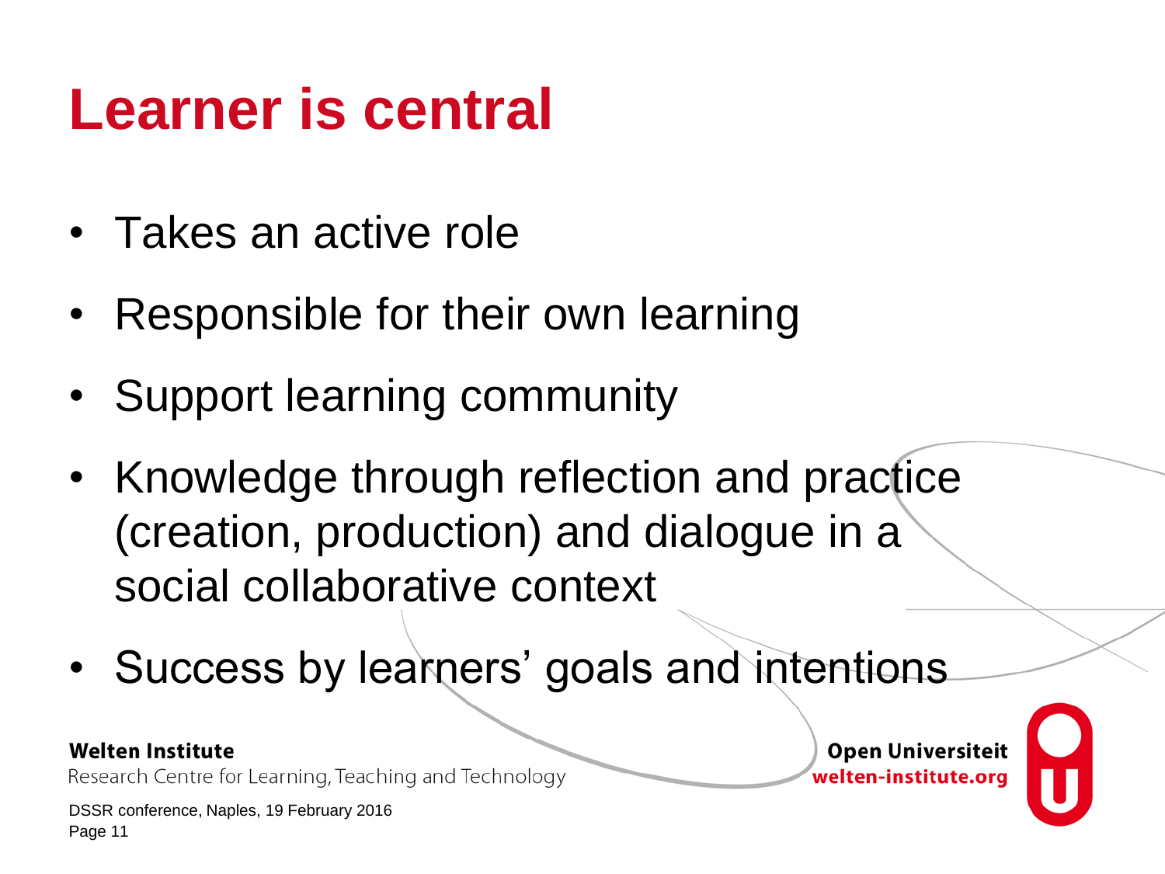## **Learner is central**

- Takes an active role
- Responsible for their own learning
- Support learning community
- Knowledge through reflection and practice (creation, production) and dialogue in a social collaborative context
- Success by learners' goals and intentions

### **Welten Institute**

Research Centre for Learning, Teaching and Technology

DSSR conference, Naples, 19 February 2016 Page 11

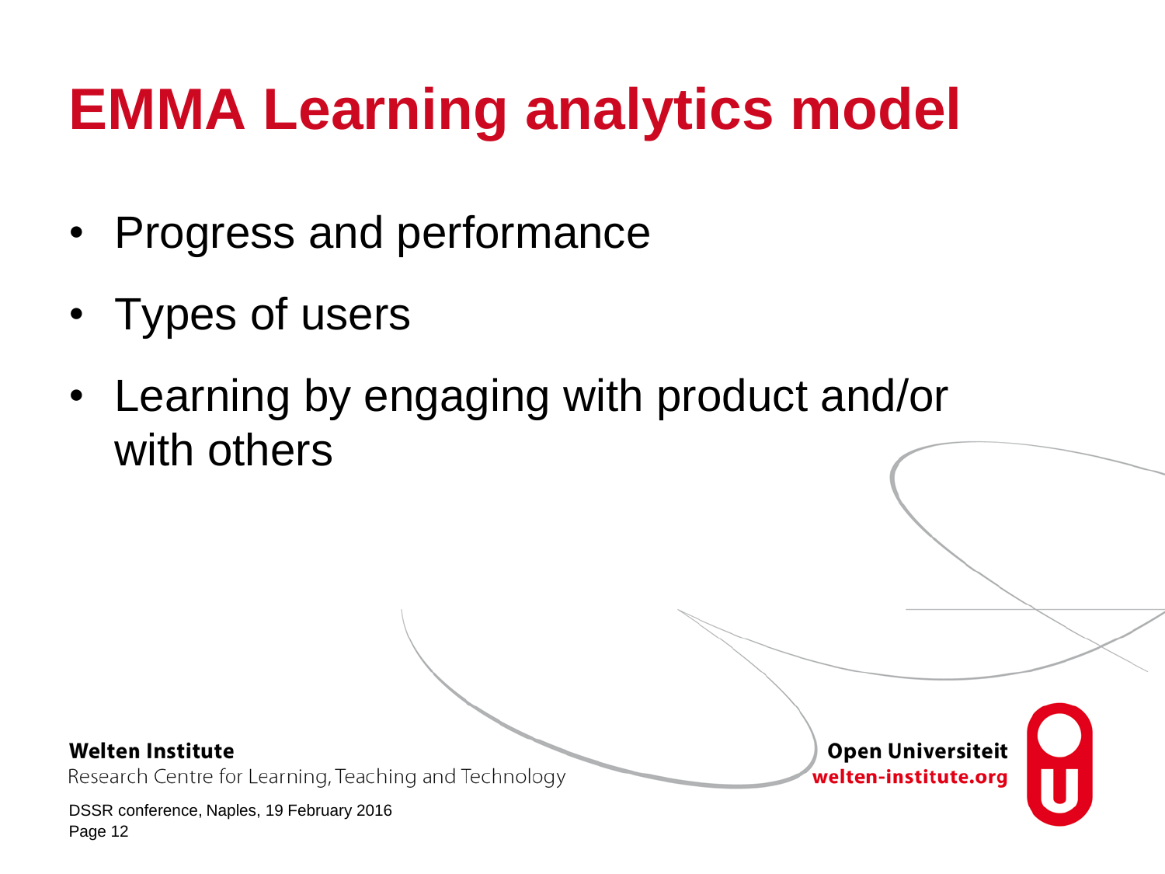# **EMMA Learning analytics model**

- Progress and performance
- Types of users
- Learning by engaging with product and/or with others

### **Welten Institute**

Research Centre for Learning, Teaching and Technology

DSSR conference, Naples, 19 February 2016 Page 12

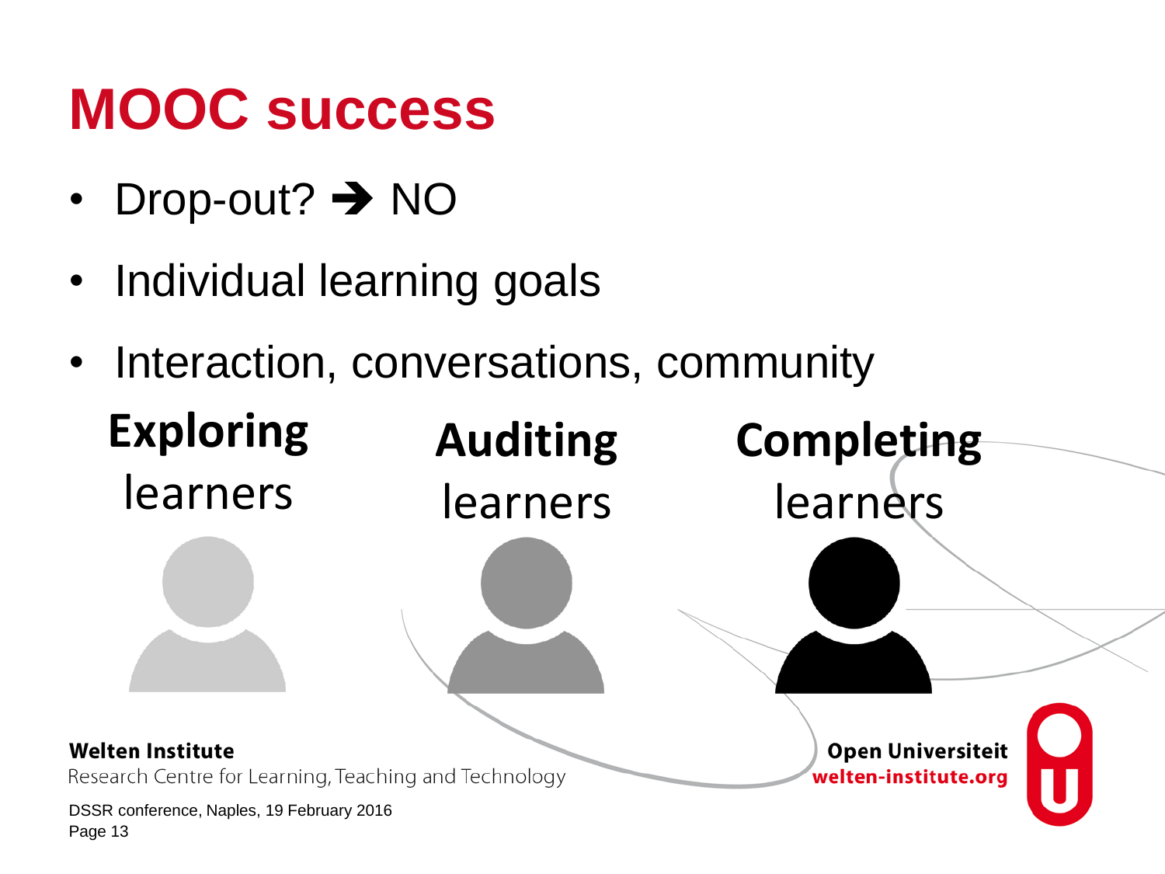## **MOOC success**

- Drop-out?  $\rightarrow$  NO
- Individual learning goals
- Interaction, conversations, community

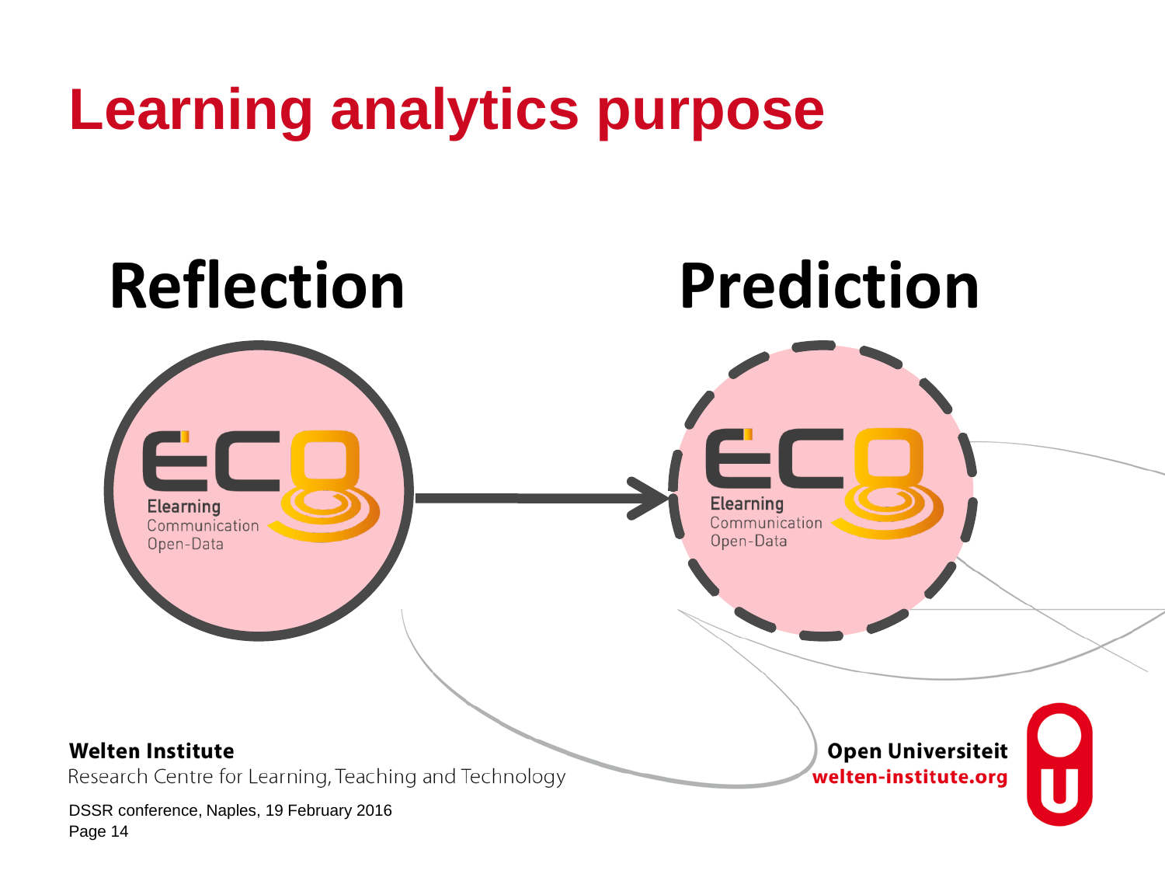## **Learning analytics purpose**

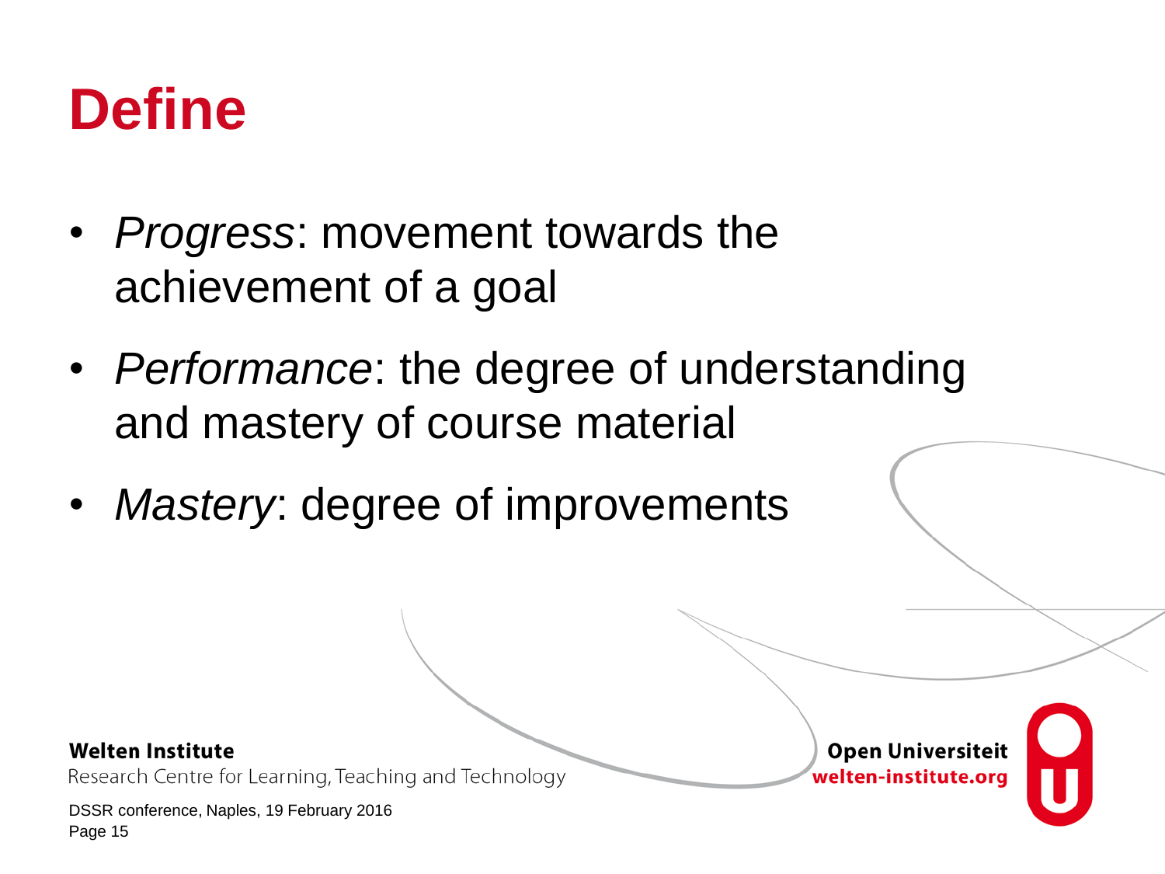## **Define**

- *Progress*: movement towards the achievement of a goal
- *Performance*: the degree of understanding and mastery of course material
- *Mastery*: degree of improvements

#### **Welten Institute**

Research Centre for Learning, Teaching and Technology

DSSR conference, Naples, 19 February 2016 Page 15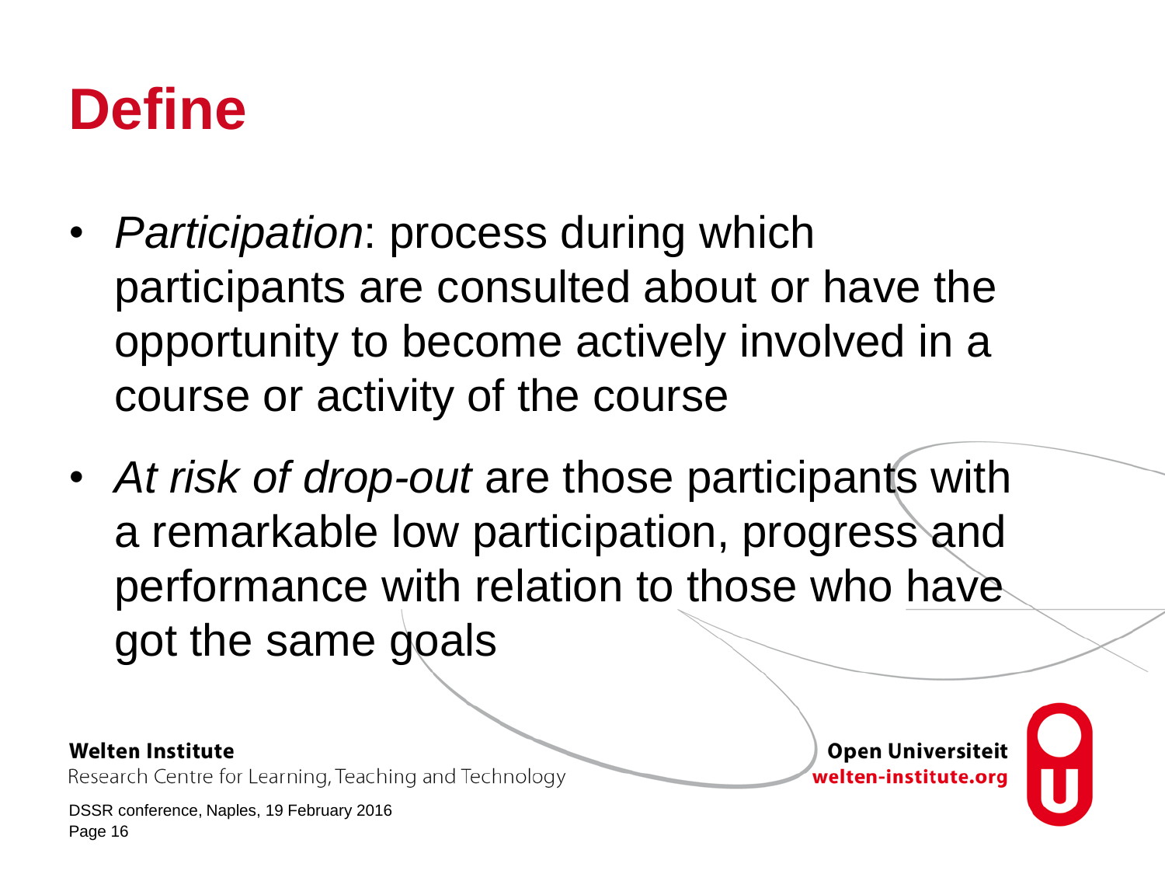## **Define**

- *Participation*: process during which participants are consulted about or have the opportunity to become actively involved in a course or activity of the course
- *At risk of drop-out* are those participants with a remarkable low participation, progress and performance with relation to those who have got the same goals

#### **Welten Institute**

Research Centre for Learning, Teaching and Technology

DSSR conference, Naples, 19 February 2016 Page 16

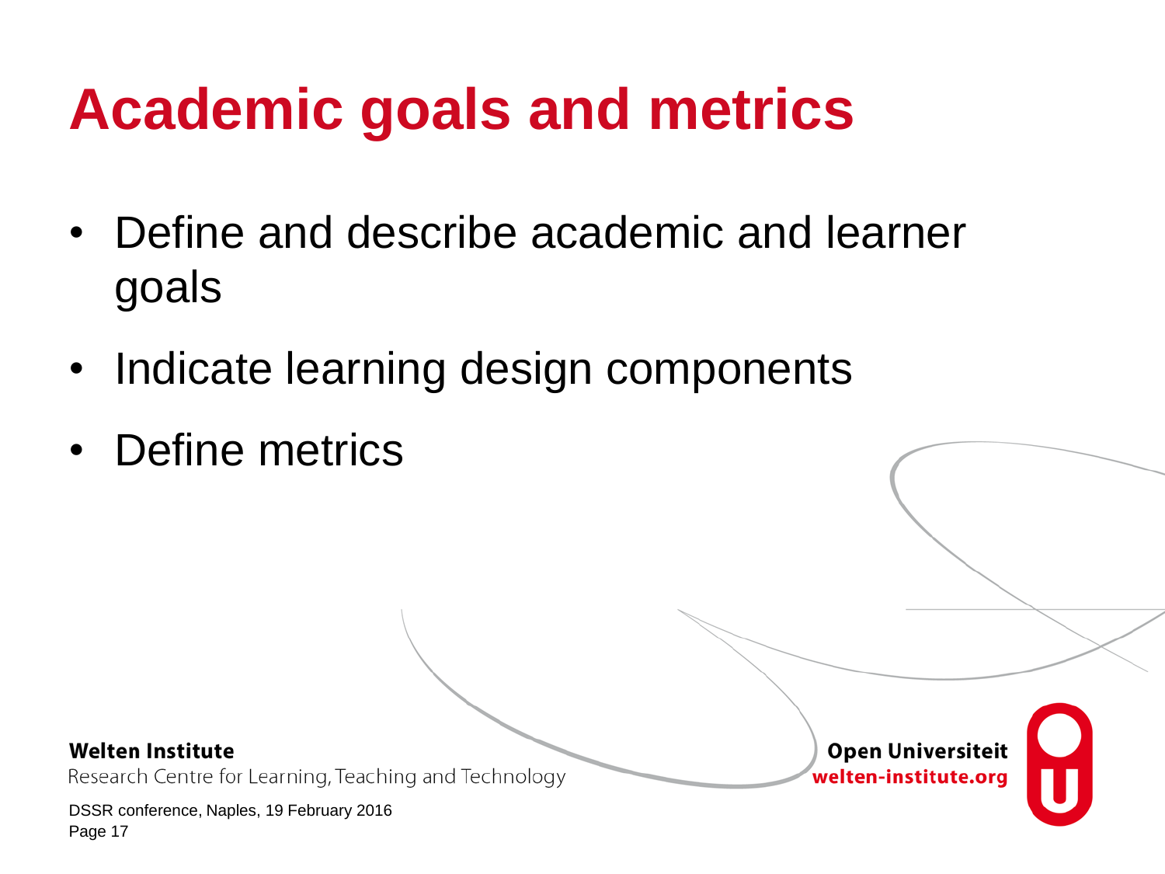# **Academic goals and metrics**

- Define and describe academic and learner goals
- Indicate learning design components
- Define metrics

#### **Welten Institute**

Research Centre for Learning, Teaching and Technology

DSSR conference, Naples, 19 February 2016 Page 17

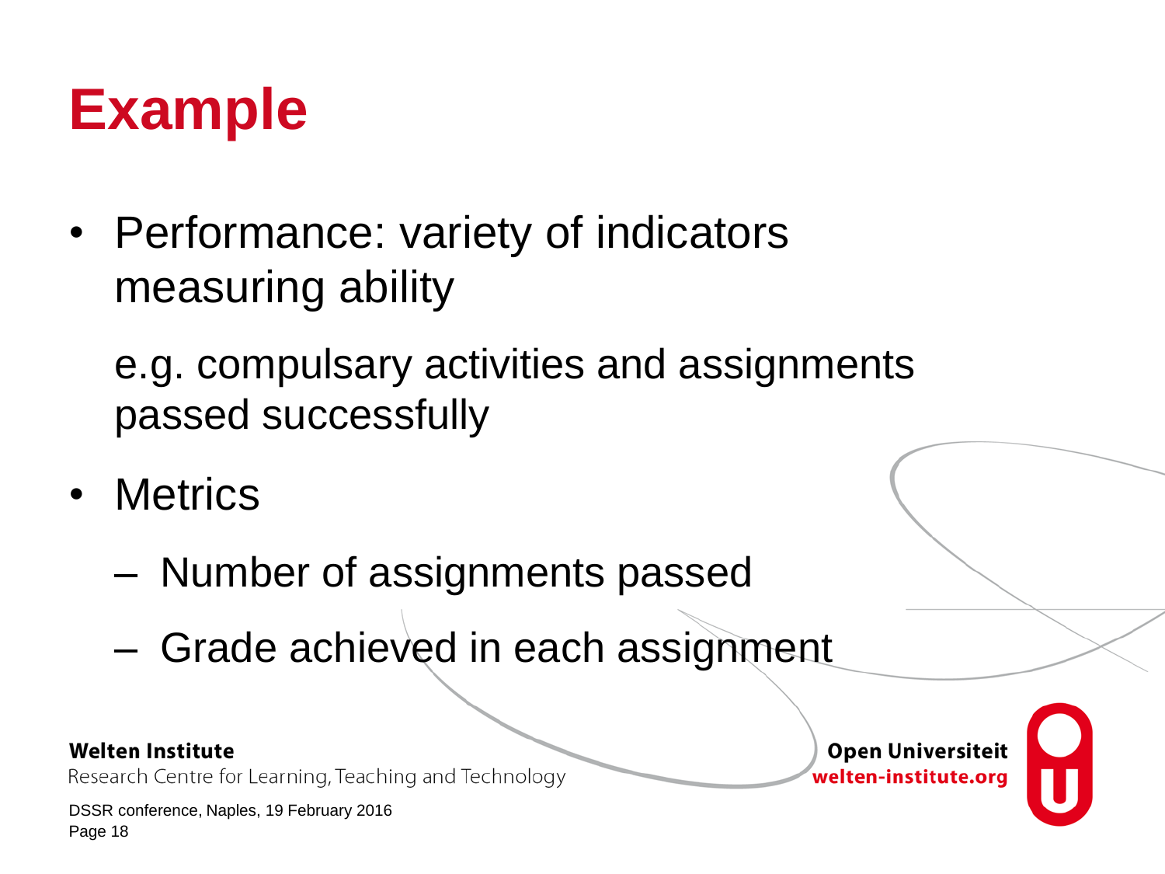## **Example**

• Performance: variety of indicators measuring ability

e.g. compulsary activities and assignments passed successfully

- Metrics
	- Number of assignments passed
	- Grade achieved in each assignment

### **Welten Institute**

Research Centre for Learning, Teaching and Technology

DSSR conference, Naples, 19 February 2016 Page 18

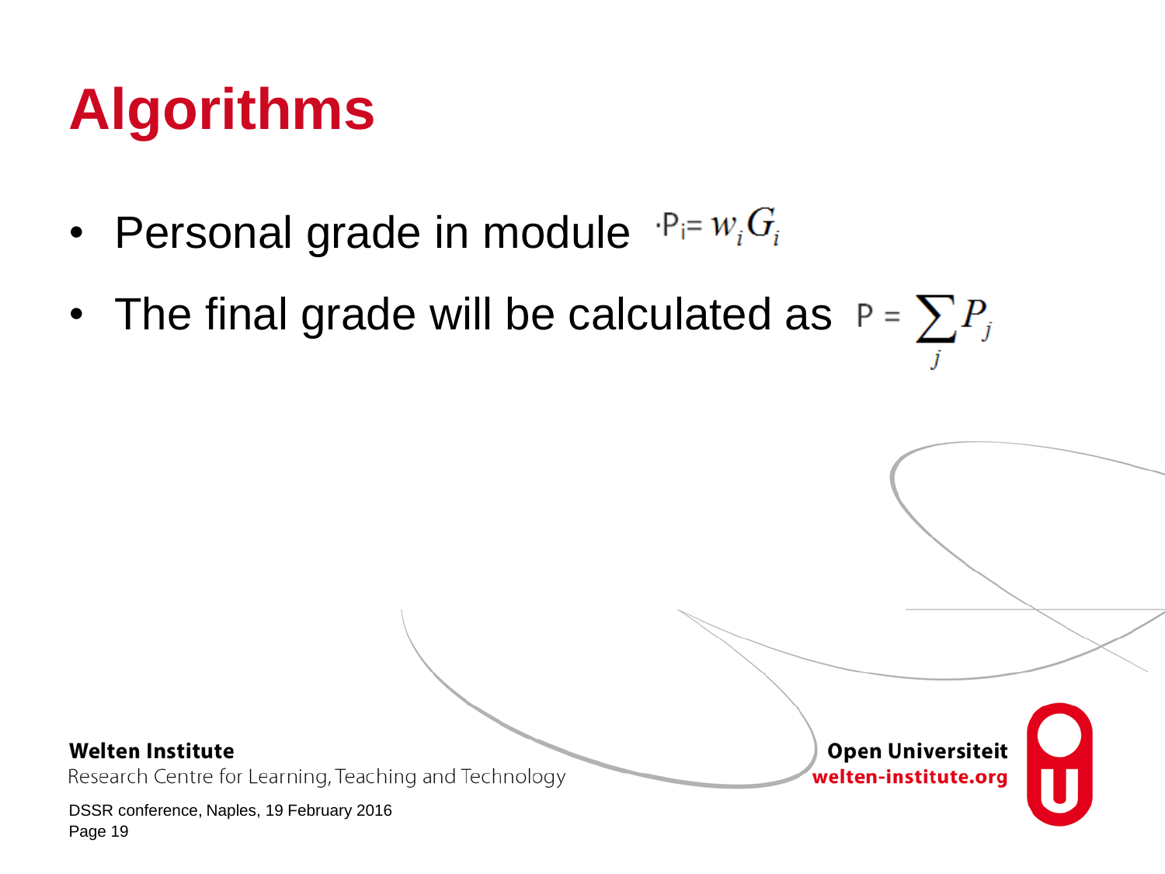# **Algorithms**

- Personal grade in module  $P_i = w_i G_i$
- The final grade will be calculated as  $P = \sum P_i$

**Welten Institute** 

Research Centre for Learning, Teaching and Technology

DSSR conference, Naples, 19 February 2016 Page 19

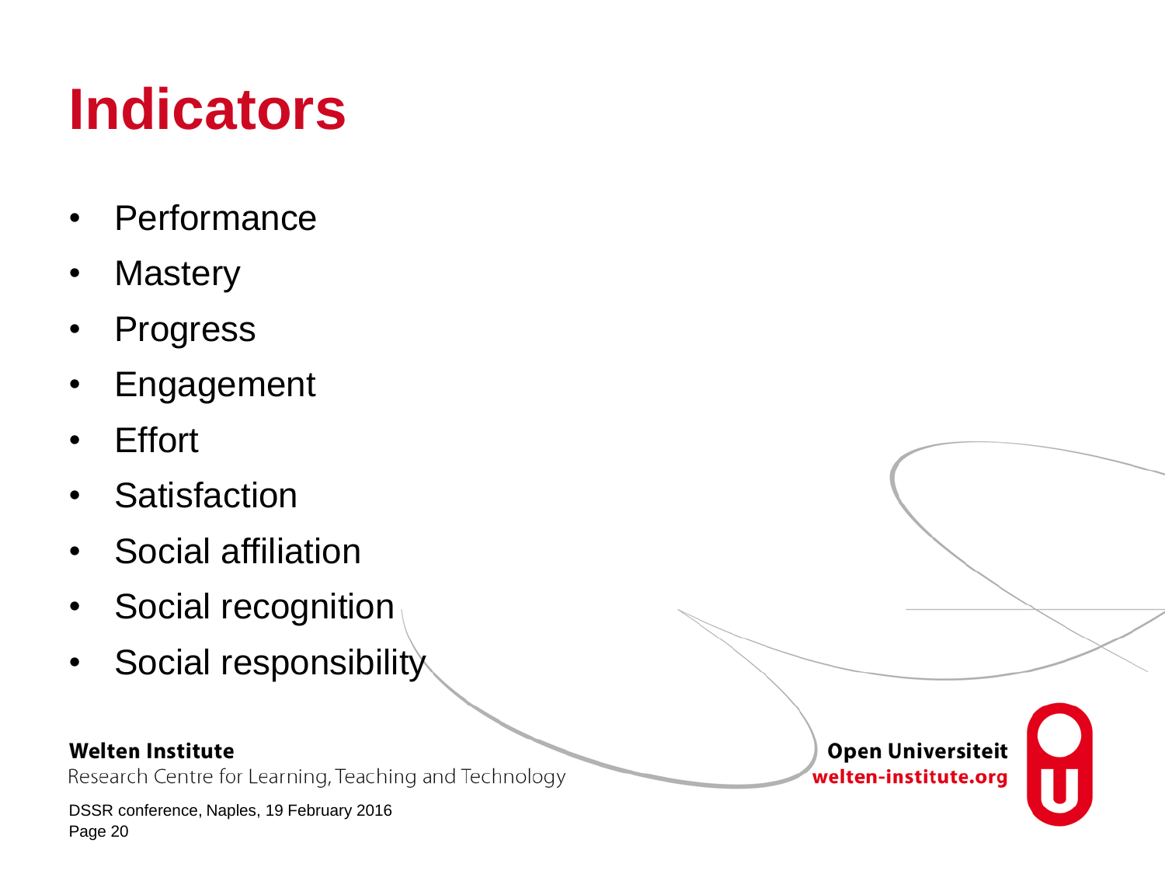# **Indicators**

- Performance
- Mastery
- Progress
- Engagement
- Effort
- Satisfaction
- Social affiliation
- Social recognition
- Social responsibility

### **Welten Institute**

Research Centre for Learning, Teaching and Technology

DSSR conference, Naples, 19 February 2016 Page 20

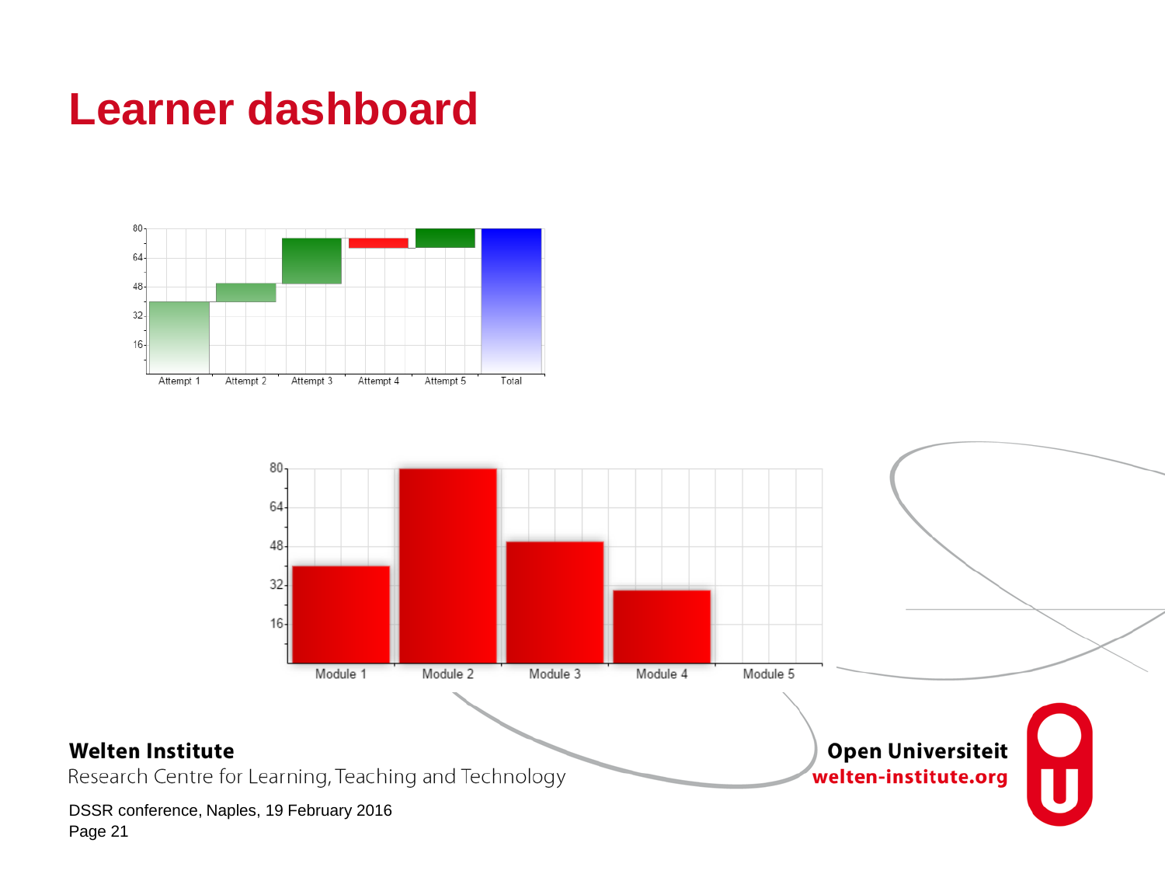### **Learner dashboard**



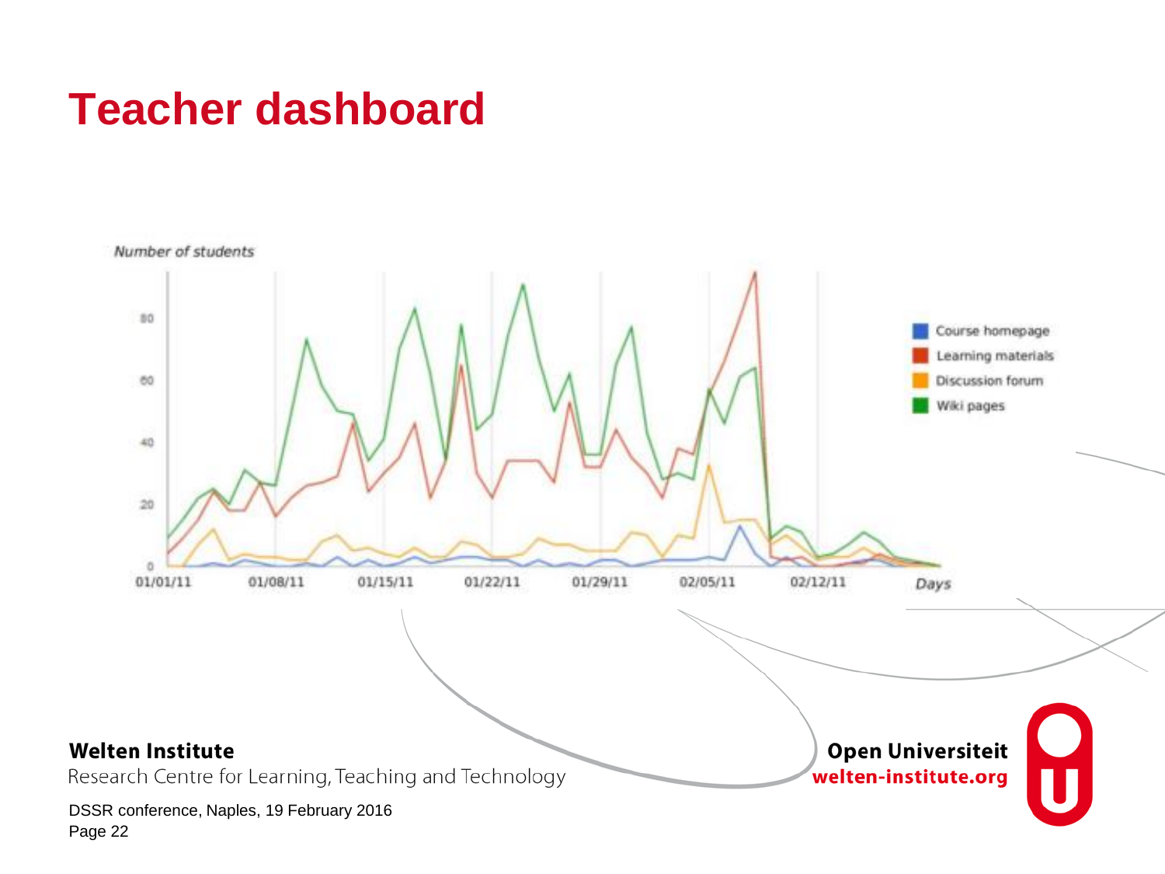### **Teacher dashboard**

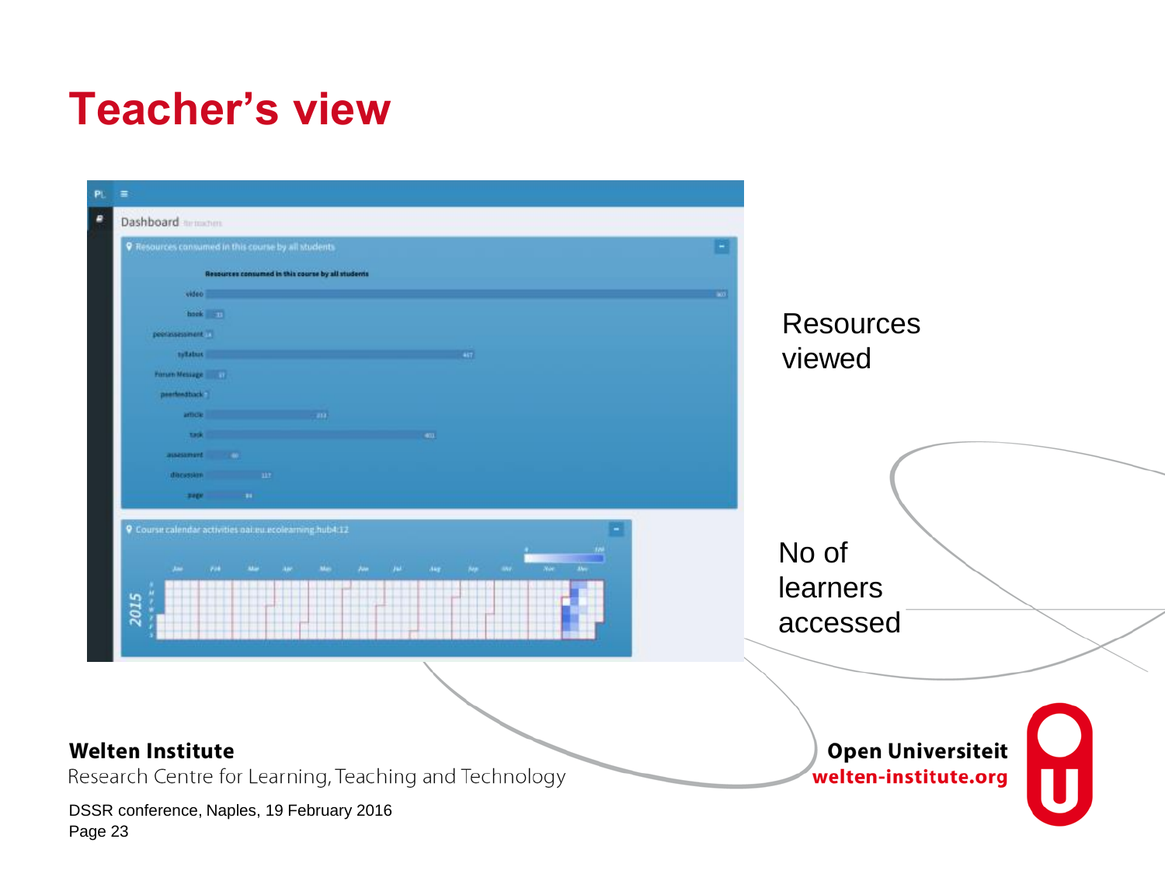### **Teacher's view**

| $\equiv$<br>Dashboard minimum                                                     |                                                        |
|-----------------------------------------------------------------------------------|--------------------------------------------------------|
| <b>9</b> Resources consumed in this course by all students                        |                                                        |
| Resources consumed in this course by all students                                 |                                                        |
| video                                                                             |                                                        |
| hook 50                                                                           | <b>Resources</b>                                       |
| peerinsessment.                                                                   |                                                        |
| tolistus                                                                          | viewed                                                 |
| Forum Message 1999                                                                |                                                        |
| prementions.                                                                      |                                                        |
| and the company of the company<br>amou                                            |                                                        |
| task<br>$-401$                                                                    |                                                        |
| assessment (1991)                                                                 |                                                        |
| discussion and the                                                                |                                                        |
| 1991<br><b>SIGN</b>                                                               |                                                        |
| 9 Course calendar activities gailed ecolearning hub4:12<br>Jan 1998 Mar 1<br>2015 | No of<br>learners<br>accessed                          |
| <b>Welten Institute</b><br>Research Centre for Learning, Teaching and Technology  | т.<br><b>Open Universiteit</b><br>welten-institute.org |
|                                                                                   |                                                        |
| DSSR conference, Naples, 19 February 2016<br>Page 23                              |                                                        |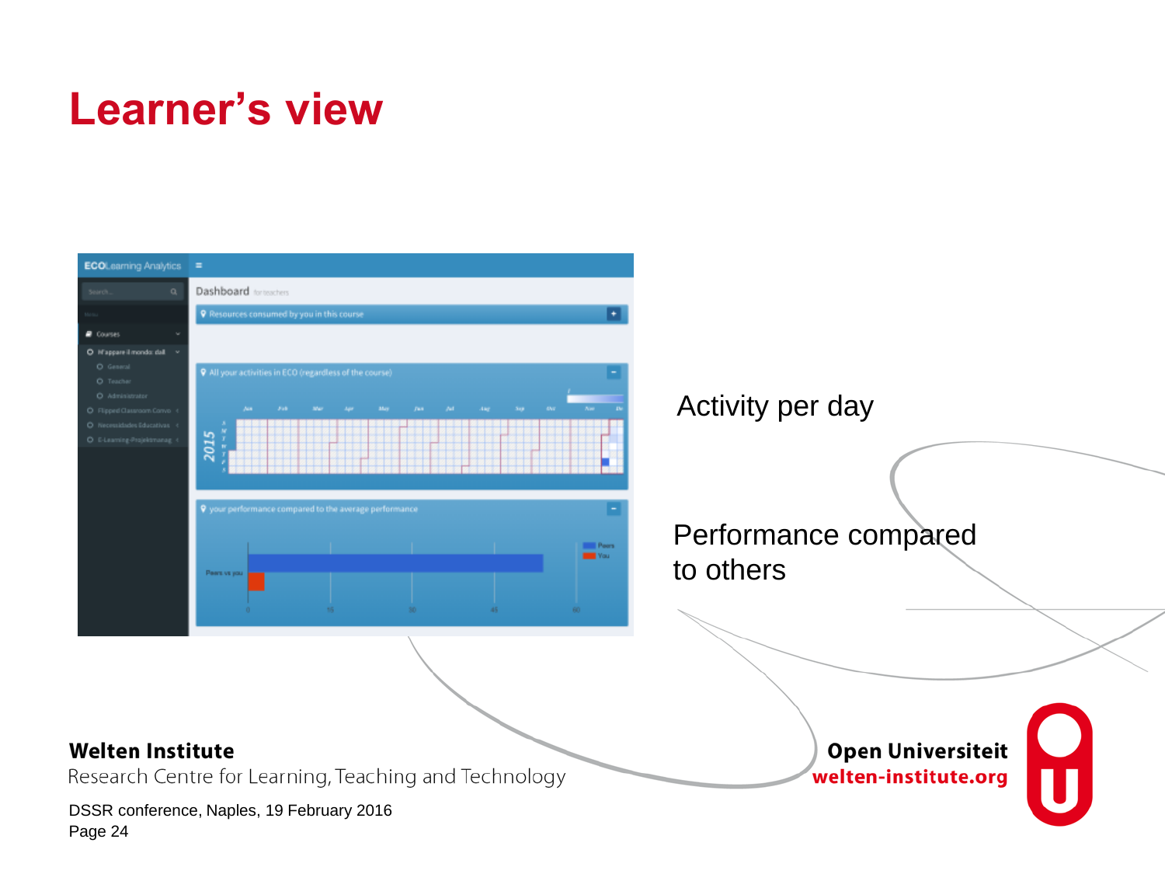### **Learner's view**

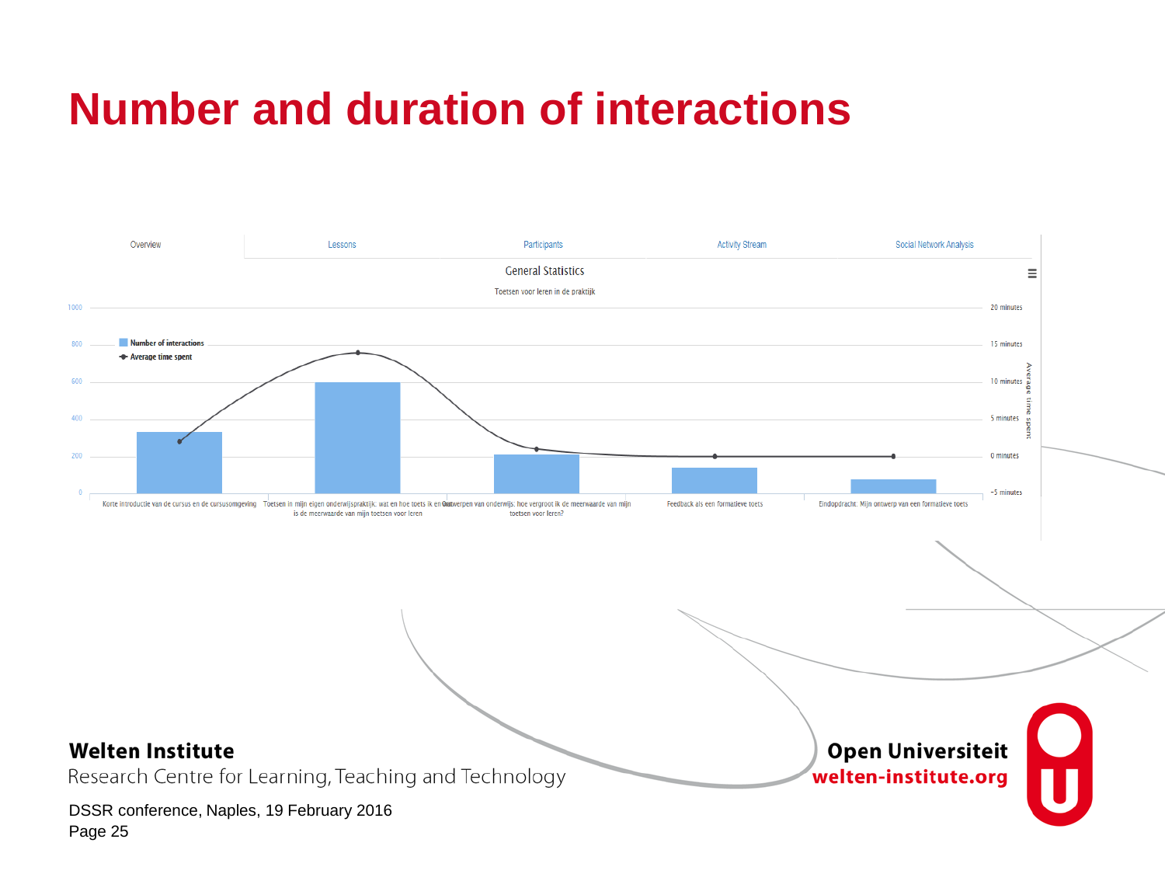## **Number and duration of interactions**

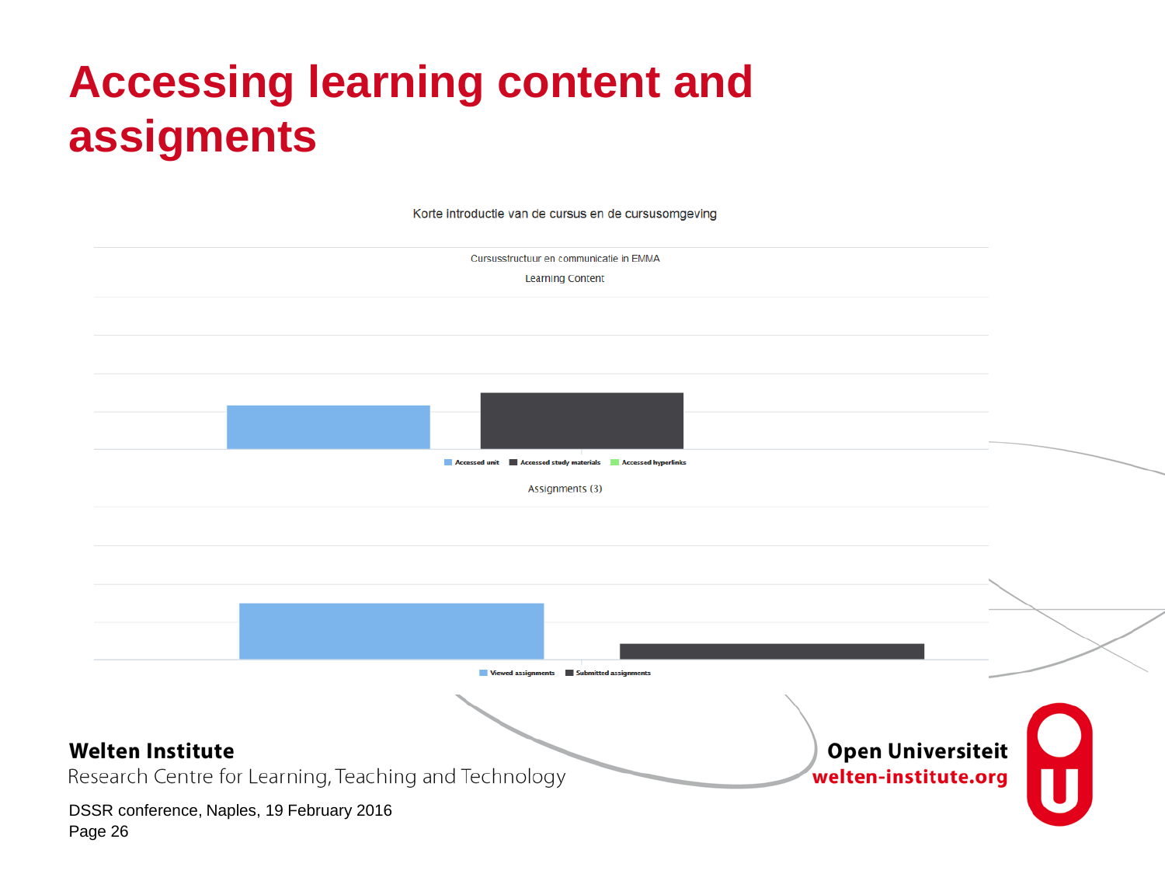## **Accessing learning content and assigments**

Korte introductie van de cursus en de cursusomgeving

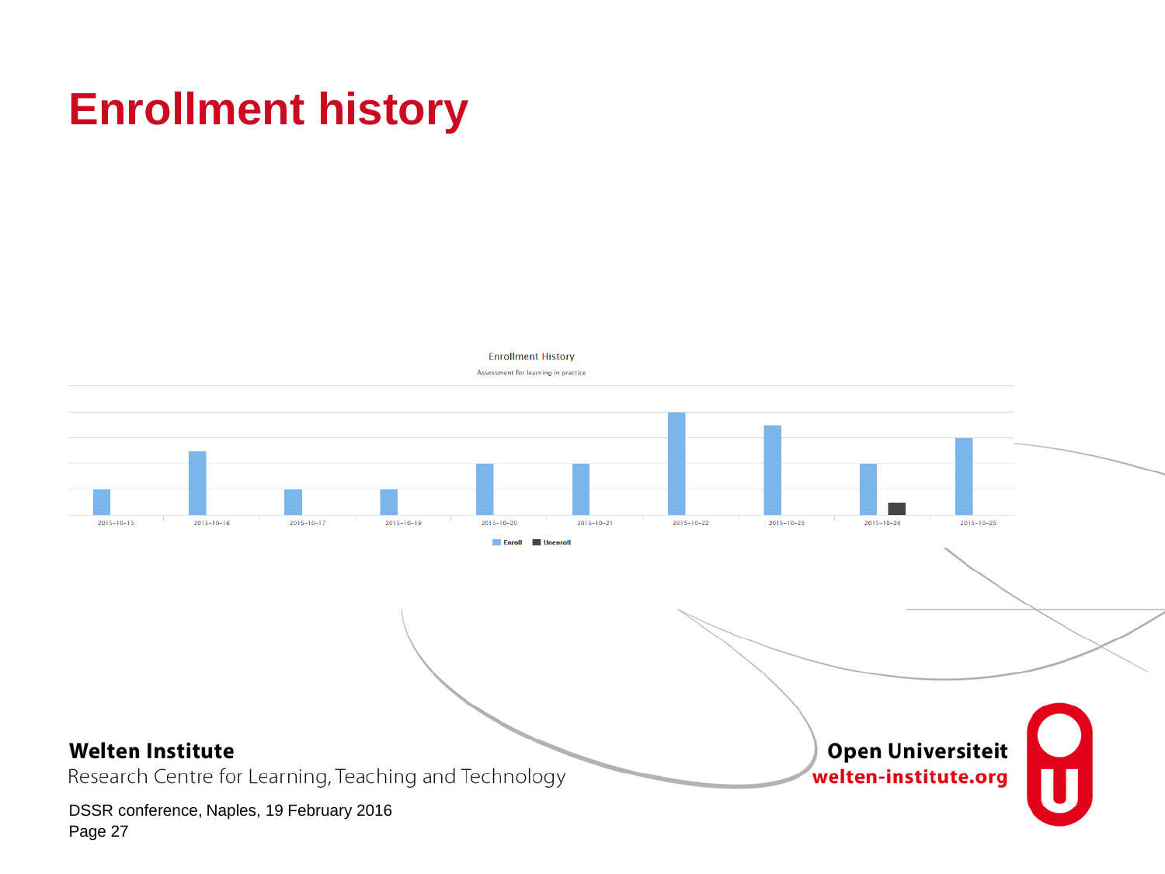## **Enrollment history**

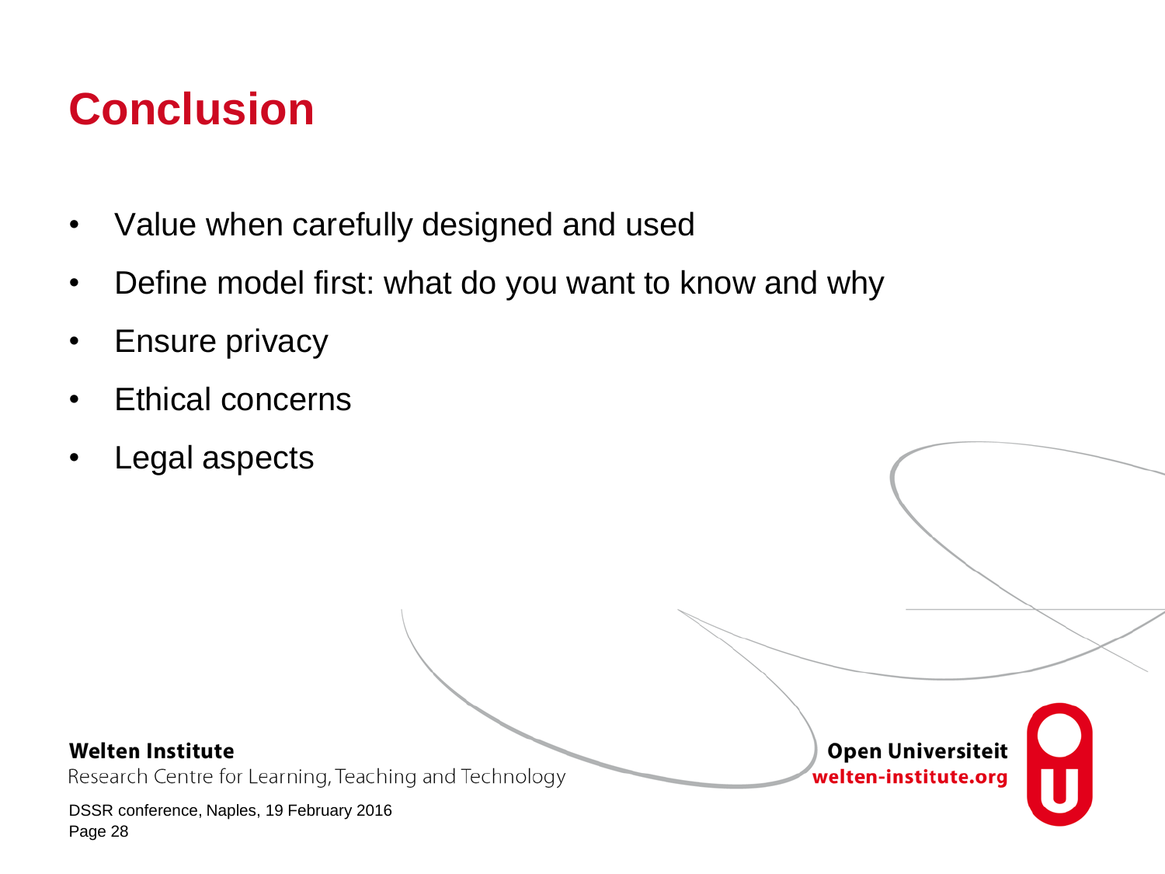## **Conclusion**

- Value when carefully designed and used
- Define model first: what do you want to know and why
- Ensure privacy
- Ethical concerns
- Legal aspects

#### **Welten Institute**

Research Centre for Learning, Teaching and Technology

DSSR conference, Naples, 19 February 2016 Page 28